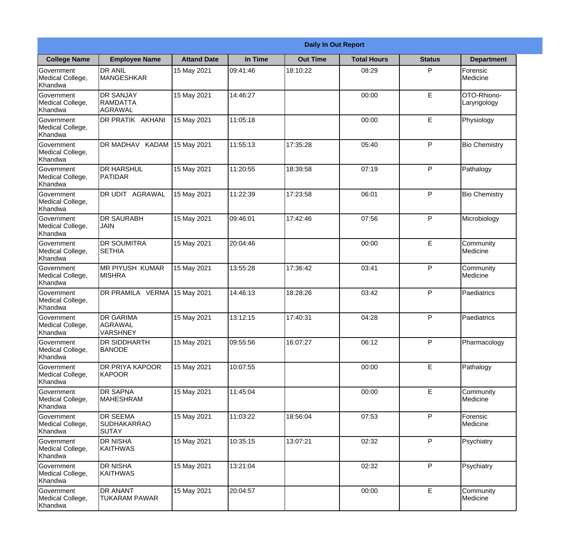|                                                  | <b>Daily In Out Report</b>                             |                    |          |                 |                    |               |                            |  |
|--------------------------------------------------|--------------------------------------------------------|--------------------|----------|-----------------|--------------------|---------------|----------------------------|--|
| <b>College Name</b>                              | <b>Employee Name</b>                                   | <b>Attand Date</b> | In Time  | <b>Out Time</b> | <b>Total Hours</b> | <b>Status</b> | <b>Department</b>          |  |
| Government<br>Medical College,<br>Khandwa        | <b>DR ANIL</b><br><b>MANGESHKAR</b>                    | 15 May 2021        | 09:41:46 | 18:10:22        | 08:29              | P             | Forensic<br>Medicine       |  |
| Government<br>Medical College,<br>Khandwa        | <b>DR SANJAY</b><br><b>RAMDATTA</b><br>AGRAWAL         | 15 May 2021        | 14:46:27 |                 | 00:00              | $\mathsf E$   | OTO-Rhiono-<br>Laryngology |  |
| <b>Government</b><br>Medical College,<br>Khandwa | <b>DR PRATIK AKHANI</b>                                | 15 May 2021        | 11:05:18 |                 | 00:00              | E             | Physiology                 |  |
| <b>Government</b><br>Medical College,<br>Khandwa | <b>DR MADHAV KADAM</b>                                 | 15 May 2021        | 11:55:13 | 17:35:28        | 05:40              | P             | <b>Bio Chemistry</b>       |  |
| Government<br>Medical College,<br>Khandwa        | <b>IDR HARSHUL</b><br>PATIDAR                          | 15 May 2021        | 11:20:55 | 18:39:58        | 07:19              | P             | Pathalogy                  |  |
| Government<br>Medical College,<br>Khandwa        | <b>DR UDIT AGRAWAL</b>                                 | 15 May 2021        | 11:22:39 | 17:23:58        | 06:01              | P             | <b>Bio Chemistry</b>       |  |
| <b>Government</b><br>Medical College,<br>Khandwa | <b>DR SAURABH</b><br><b>JAIN</b>                       | 15 May 2021        | 09:46:01 | 17:42:46        | 07:56              | P             | Microbiology               |  |
| Government<br>Medical College,<br>Khandwa        | <b>DR SOUMITRA</b><br><b>SETHIA</b>                    | 15 May 2021        | 20:04:46 |                 | 00:00              | E             | Community<br>Medicine      |  |
| Government<br>Medical College,<br>Khandwa        | <b>MR PIYUSH KUMAR</b><br><b>MISHRA</b>                | 15 May 2021        | 13:55:28 | 17:36:42        | 03:41              | P             | Community<br>Medicine      |  |
| Government<br>Medical College,<br>Khandwa        | DR PRAMILA VERMA 15 May 2021                           |                    | 14:46:13 | 18:28:26        | 03:42              | P             | Paediatrics                |  |
| Government<br>Medical College,<br>Khandwa        | <b>DR GARIMA</b><br>AGRAWAL<br>VARSHNEY                | 15 May 2021        | 13:12:15 | 17:40:31        | 04:28              | P             | Paediatrics                |  |
| Government<br>Medical College,<br>Khandwa        | <b>DR SIDDHARTH</b><br><b>BANODE</b>                   | 15 May 2021        | 09:55:56 | 16:07:27        | 06:12              | P             | Pharmacology               |  |
| Government<br>Medical College,<br>Khandwa        | <b>DR PRIYA KAPOOR</b><br><b>KAPOOR</b>                | 15 May 2021        | 10:07:55 |                 | 00:00              | E             | Pathalogy                  |  |
| Government<br>Medical College,<br>Khandwa        | <b>DR SAPNA</b><br><b>MAHESHRAM</b>                    | 15 May 2021        | 11:45:04 |                 | 00:00              | $\mathsf E$   | Community<br>Medicine      |  |
| Government<br>Medical College,<br>Khandwa        | <b>IDR SEEMA</b><br><b>SUDHAKARRAO</b><br><b>SUTAY</b> | 15 May 2021        | 11:03:22 | 18:56:04        | 07:53              | P             | Forensic<br>Medicine       |  |
| Government<br>Medical College,<br>Khandwa        | <b>DR NISHA</b><br><b>KAITHWAS</b>                     | 15 May 2021        | 10:35:15 | 13:07:21        | 02:32              | P             | Psychiatry                 |  |
| Government<br>Medical College,<br>Khandwa        | <b>DR NISHA</b><br><b>KAITHWAS</b>                     | 15 May 2021        | 13:21:04 |                 | 02:32              | P             | Psychiatry                 |  |
| Government<br>Medical College,<br>Khandwa        | <b>DR ANANT</b><br><b>TUKARAM PAWAR</b>                | 15 May 2021        | 20:04:57 |                 | 00:00              | $\mathsf E$   | Community<br>Medicine      |  |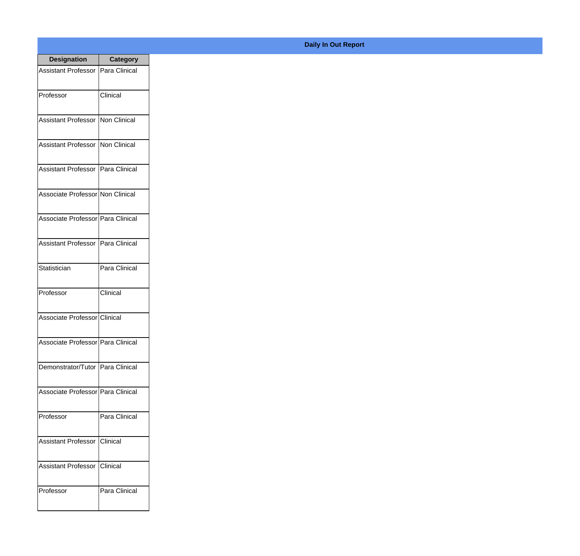| <b>Designation</b>                  | <b>Category</b> |
|-------------------------------------|-----------------|
| Assistant Professor   Para Clinical |                 |
| Professor                           | Clinical        |
| Assistant Professor Non Clinical    |                 |
| <b>Assistant Professor</b>          | Non Clinical    |
| Assistant Professor   Para Clinical |                 |
| Associate Professor Non Clinical    |                 |
| Associate Professor Para Clinical   |                 |
| Assistant Professor   Para Clinical |                 |
| Statistician                        | Para Clinical   |
| Professor                           | Clinical        |
| Associate Professor Clinical        |                 |
| Associate Professor Para Clinical   |                 |
| Demonstrator/Tutor   Para Clinical  |                 |
| Associate Professor   Para Clinical |                 |
| Professor                           | Para Clinical   |
| <b>Assistant Professor</b>          | Clinical        |
| <b>Assistant Professor</b>          | Clinical        |
| Professor                           | Para Clinical   |

## **Daily In Out Report**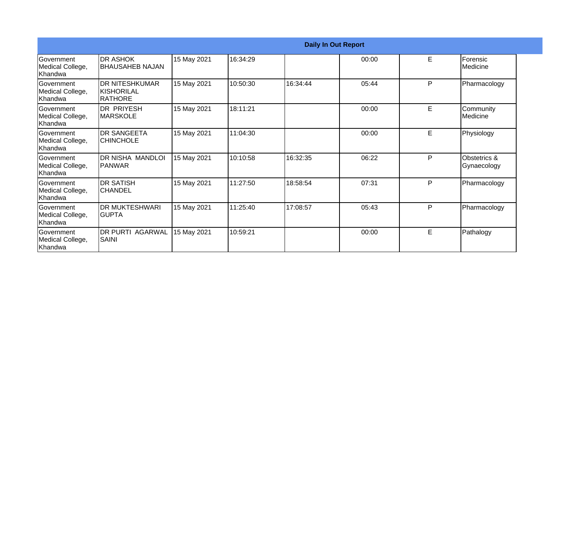| <b>Daily In Out Report</b>                       |                                                               |             |          |          |       |   |                                |
|--------------------------------------------------|---------------------------------------------------------------|-------------|----------|----------|-------|---|--------------------------------|
| Government<br>Medical College,<br>Khandwa        | <b>DR ASHOK</b><br><b>BHAUSAHEB NAJAN</b>                     | 15 May 2021 | 16:34:29 |          | 00:00 | E | Forensic<br>Medicine           |
| <b>Government</b><br>Medical College,<br>Khandwa | <b>DR NITESHKUMAR</b><br><b>KISHORILAL</b><br><b>IRATHORE</b> | 15 May 2021 | 10:50:30 | 16:34:44 | 05:44 | P | Pharmacology                   |
| Government<br>Medical College,<br>Khandwa        | DR PRIYESH<br><b>IMARSKOLE</b>                                | 15 May 2021 | 18:11:21 |          | 00:00 | E | Community<br><b>I</b> Medicine |
| <b>Government</b><br>Medical College,<br>Khandwa | <b>DR SANGEETA</b><br><b>CHINCHOLE</b>                        | 15 May 2021 | 11:04:30 |          | 00:00 | E | Physiology                     |
| Government<br>Medical College,<br>Khandwa        | DR NISHA MANDLOI<br>IPANWAR                                   | 15 May 2021 | 10:10:58 | 16:32:35 | 06:22 | P | Obstetrics &<br>Gynaecology    |
| <b>Government</b><br>Medical College,<br>Khandwa | <b>DR SATISH</b><br><b>CHANDEL</b>                            | 15 May 2021 | 11:27:50 | 18:58:54 | 07:31 | P | Pharmacology                   |
| <b>Government</b><br>Medical College,<br>Khandwa | <b>DR MUKTESHWARI</b><br><b>GUPTA</b>                         | 15 May 2021 | 11:25:40 | 17:08:57 | 05:43 | P | Pharmacology                   |
| Government<br>Medical College,<br>Khandwa        | <b>DR PURTI AGARWAL</b><br><b>SAINI</b>                       | 15 May 2021 | 10:59:21 |          | 00:00 | E | Pathalogy                      |